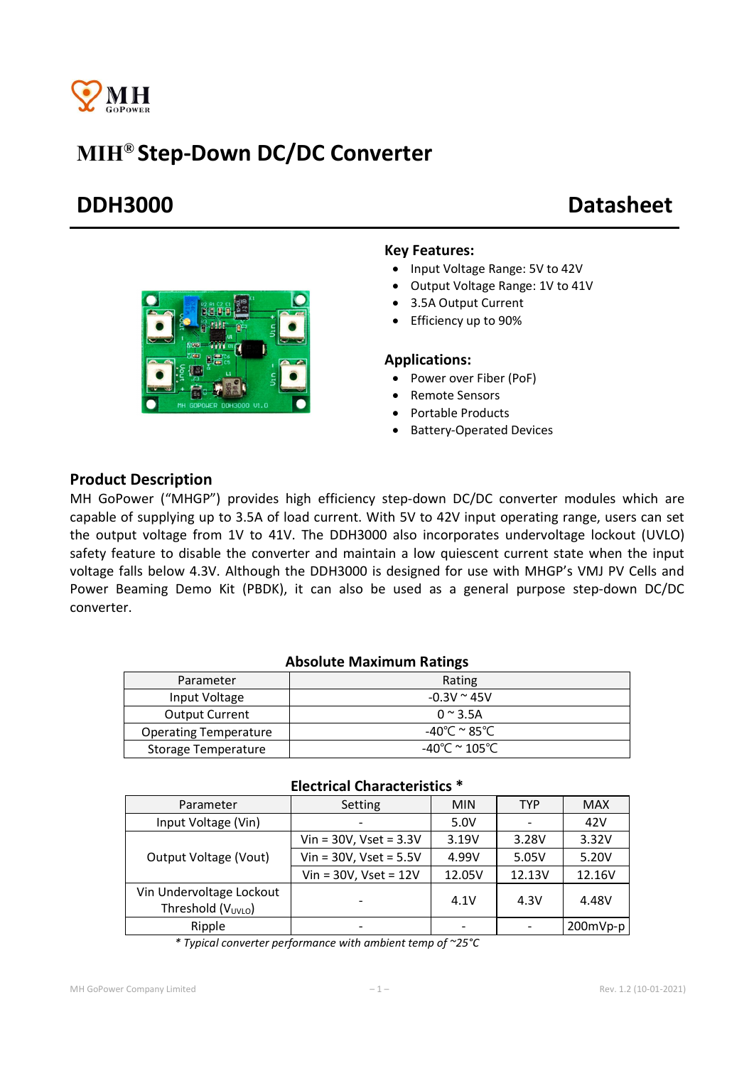

# MIH® Step-Down DC/DC Converter

# DDH3000 Datasheet



#### Key Features:

- Input Voltage Range: 5V to 42V
- Output Voltage Range: 1V to 41V
- 3.5A Output Current
- Efficiency up to 90%

### Applications:

- Power over Fiber (PoF)
- Remote Sensors
- Portable Products
- Battery-Operated Devices

### Product Description

MH GoPower ("MHGP") provides high efficiency step-down DC/DC converter modules which are capable of supplying up to 3.5A of load current. With 5V to 42V input operating range, users can set the output voltage from 1V to 41V. The DDH3000 also incorporates undervoltage lockout (UVLO) safety feature to disable the converter and maintain a low quiescent current state when the input voltage falls below 4.3V. Although the DDH3000 is designed for use with MHGP's VMJ PV Cells and Power Beaming Demo Kit (PBDK), it can also be used as a general purpose step-down DC/DC converter.

#### Absolute Maximum Ratings

| Parameter                    | Rating                |
|------------------------------|-----------------------|
| Input Voltage                | $-0.3V \approx 45V$   |
| <b>Output Current</b>        | $0 \approx 3.5$ A     |
| <b>Operating Temperature</b> | -40℃ <sup>~</sup> 85℃ |
| Storage Temperature          | -40°C $\simeq$ 105°C. |

#### Electrical Characteristics \*

| Parameter                                                  | Setting                     | <b>MIN</b> | TYP    | <b>MAX</b> |
|------------------------------------------------------------|-----------------------------|------------|--------|------------|
| Input Voltage (Vin)                                        |                             | 5.0V       |        | 42V        |
| Output Voltage (Vout)                                      | $Vin = 30V$ , Vset = $3.3V$ | 3.19V      | 3.28V  | 3.32V      |
|                                                            | Vin = $30V$ , Vset = $5.5V$ | 4.99V      | 5.05V  | 5.20V      |
|                                                            | Vin = $30V$ , Vset = $12V$  | 12.05V     | 12.13V | 12.16V     |
| Vin Undervoltage Lockout<br>Threshold (V <sub>UVLO</sub> ) |                             | 4.1V       | 4.3V   | 4.48V      |
| Ripple                                                     |                             |            |        | 200mVp-p   |

*\* Typical converter performance with ambient temp of ~25°C*